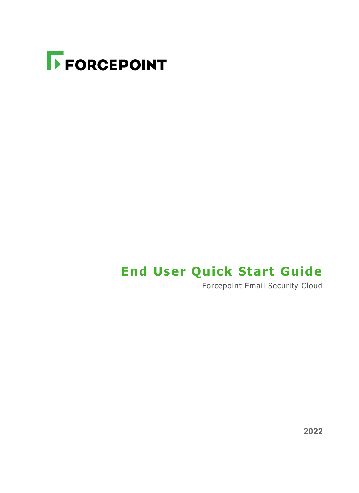

## **End User Quick Start Guide**

Forcepoint Email Security Cloud

**2022**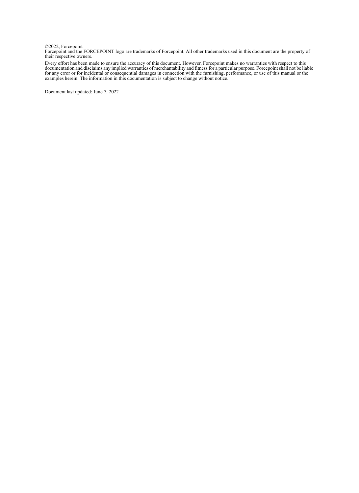©2022, Forcepoint Forcepoint and the FORCEPOINT logo are trademarks of Forcepoint. All other trademarks used in this document are the property of their respective owners.

Every effort has been made to ensure the accuracy of this document. However, Forcepoint makes no warranties with respect to this documentation and disclaims any implied warranties of merchantability and fitness for a parti examples herein. The information in this documentation is subject to change without notice.

Document last updated: June 7, 2022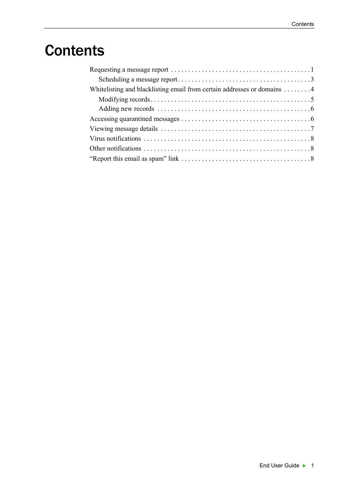# **Contents**

| Whitelisting and blacklisting email from certain addresses or domains 4 |  |  |  |
|-------------------------------------------------------------------------|--|--|--|
|                                                                         |  |  |  |
|                                                                         |  |  |  |
|                                                                         |  |  |  |
|                                                                         |  |  |  |
|                                                                         |  |  |  |
|                                                                         |  |  |  |
|                                                                         |  |  |  |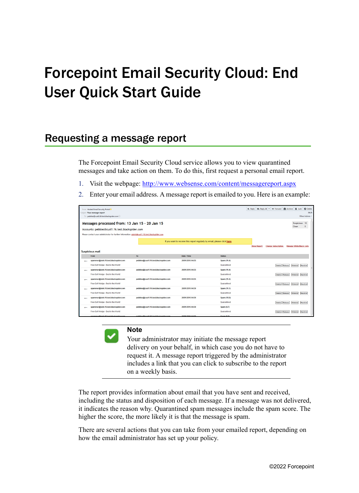# Forcepoint Email Security Cloud: End User Quick Start Guide

### <span id="page-4-0"></span>Requesting a message report

The Forcepoint Email Security Cloud service allows you to view quarantined messages and take action on them. To do this, first request a personal email report.

- 1. Visit the webpage:<http://www.websense.com/content/messagereport.aspx>
- 2. Enter your email address. A message report is emailed to you. Here is an example:

| Archive & Junk C Delete<br>< Reply All →<br><b>Keply</b><br><b>+ Forward</b><br>From Hosted Email Security Portal<br>09:25<br>Subject Your message report |                                         |                                                                          |               |                    |                            |                                 |                  |
|-----------------------------------------------------------------------------------------------------------------------------------------------------------|-----------------------------------------|--------------------------------------------------------------------------|---------------|--------------------|----------------------------|---------------------------------|------------------|
| To pebbles@cust1.16.test.blackspider.com                                                                                                                  |                                         |                                                                          |               |                    |                            |                                 | Other Actions    |
| Messages processed from: 13 Jan 15 - 20 Jan 15                                                                                                            |                                         |                                                                          |               |                    |                            | Suspicious: 12                  |                  |
| Accounts: pebbles@cust1.16.test.blackspider.com                                                                                                           |                                         |                                                                          |               |                    |                            | Clean                           | 0                |
| Please contact your administrator for further information: admin@cust1.16.test.blackspider.com                                                            |                                         |                                                                          |               |                    |                            |                                 |                  |
|                                                                                                                                                           |                                         |                                                                          |               |                    |                            |                                 |                  |
|                                                                                                                                                           |                                         | If you want to receive this report regularly by email, please click here |               |                    |                            |                                 |                  |
|                                                                                                                                                           |                                         |                                                                          |               | <b>Show Report</b> | <b>Change Subscription</b> | <b>Manage White/Black Lists</b> |                  |
| <b>Suspicious mail</b>                                                                                                                                    |                                         |                                                                          |               |                    |                            |                                 |                  |
| From                                                                                                                                                      | To:                                     | Date / Time                                                              | <b>Status</b> |                    |                            |                                 |                  |
| spammer@sink.16.test.blackspider.com                                                                                                                      | pebbles@cust1.16.test.blackspider.com   | 20/01/2015 04:35                                                         | Spam (11.4)   |                    |                            |                                 |                  |
| Free Golf Wedge - Best in the World!                                                                                                                      |                                         |                                                                          | Quarantined   |                    | <b>Details</b><br>Release  | Whitelist                       | Blacklist        |
| spammer@sink.16.test.blackspider.com                                                                                                                      | pebbles@cust1.16.test.blackspider.com   | 20/01/2015 04:35                                                         | Spam (11.4)   |                    |                            |                                 |                  |
| Free Golf Wedge - Best in the World!                                                                                                                      |                                         |                                                                          | Quarantined   |                    | <b>Details</b><br>Release  | Whitelist                       | <b>Blacklist</b> |
| spammer@sink.16.test.blackspider.com                                                                                                                      | pebbles@cust1.16.test.blackspider.com   | 20/01/2015 04:35                                                         | Spam (11.4)   |                    |                            |                                 |                  |
| Free Golf Wedge - Best in the World!                                                                                                                      |                                         |                                                                          | Quarantined   |                    | Details Release            | Whitelist                       | Blacklist        |
| spammer@sink.16.test.blackspider.com                                                                                                                      | pebbles@cust1.16.test.blackspider.com   | 20/01/2015 04:30                                                         | Spam (11.1)   |                    |                            |                                 |                  |
| Free Golf Wedge - Best in the World!                                                                                                                      |                                         |                                                                          | Quarantined   |                    | Release<br><b>Details</b>  | Whitelist                       | Blacklist        |
| spammer@sink.16.test.blackspider.com                                                                                                                      | pebbles@cust1.16.test.blackspider.com   | 20/01/2015 04:30                                                         | Spam (10.8)   |                    |                            |                                 |                  |
| Free Golf Wedge - Best in the World!                                                                                                                      |                                         |                                                                          | Quarantined   |                    | <b>Details</b><br>Release  | Whitelist                       | Blacklist        |
| spammer@sink.16.test.blackspider.com                                                                                                                      | pebbles@cust1.16.test.blackspider.com   | 20/01/2015 04:30                                                         | Spam (9.7)    |                    |                            |                                 |                  |
| Free Golf Wedge - Best in the World!                                                                                                                      |                                         |                                                                          | Quarantined   |                    | <b>Details</b><br>Release  | Whitelist                       | Blacklist        |
| archaints 40 to at bloodcomida-                                                                                                                           | abble a Quantit 40 to at black and deve | 3004/3045.04/30                                                          | $-40 - 70$    |                    |                            |                                 |                  |



#### **Note**

Your administrator may initiate the message report delivery on your behalf, in which case you do not have to request it. A message report triggered by the administrator includes a link that you can click to subscribe to the report on a weekly basis.

The report provides information about email that you have sent and received, including the status and disposition of each message. If a message was not delivered, it indicates the reason why. Quarantined spam messages include the spam score. The higher the score, the more likely it is that the message is spam.

There are several actions that you can take from your emailed report, depending on how the email administrator has set up your policy.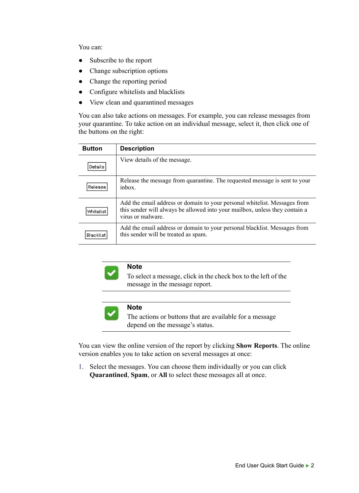You can:

- Subscribe to the report
- Change subscription options
- Change the reporting period
- Configure whitelists and blacklists
- View clean and quarantined messages

You can also take actions on messages. For example, you can release messages from your quarantine. To take action on an individual message, select it, then click one of the buttons on the right:

| <b>Button</b> | <b>Description</b>                                                                                                                                                             |
|---------------|--------------------------------------------------------------------------------------------------------------------------------------------------------------------------------|
| Details       | View details of the message.                                                                                                                                                   |
| Release !     | Release the message from quarantine. The requested message is sent to your<br>inbox.                                                                                           |
| Whitelist     | Add the email address or domain to your personal white list. Messages from<br>this sender will always be allowed into your mailbox, unless they contain a<br>virus or malware. |
| Blacklist     | Add the email address or domain to your personal blacklist. Messages from<br>this sender will be treated as spam.                                                              |



#### **Note**

To select a message, click in the check box to the left of the message in the message report.



#### **Note**

The actions or buttons that are available for a message depend on the message's status.

You can view the online version of the report by clicking **Show Reports**. The online version enables you to take action on several messages at once:

1. Select the messages. You can choose them individually or you can click **Quarantined**, **Spam**, or **All** to select these messages all at once.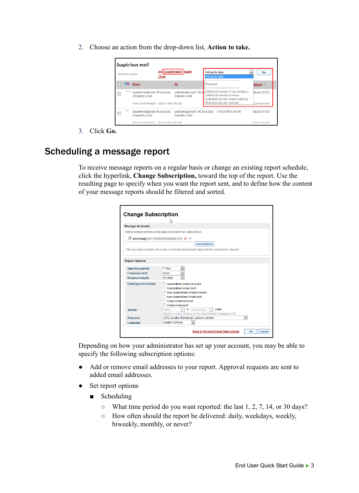2. Choose an action from the drop-down list, **Action to take.**



3. Click **Go.** 

#### <span id="page-6-0"></span>Scheduling a message report

To receive message reports on a regular basis or change an existing report schedule, click the hyperlink, **Change Subscription,** toward the top of the report. Use the resulting page to specify when you want the report sent, and to define how the content of your message reports should be filtered and sorted.

| <b>Change Subscription</b>     | Ьť                                                                                                 |  |  |  |  |  |  |  |  |
|--------------------------------|----------------------------------------------------------------------------------------------------|--|--|--|--|--|--|--|--|
| <b>Manage Accounts</b>         |                                                                                                    |  |  |  |  |  |  |  |  |
|                                | Add or remove addresses to your personal email subscription                                        |  |  |  |  |  |  |  |  |
| $\triangledown$ pebbles@       | ю                                                                                                  |  |  |  |  |  |  |  |  |
|                                | <b>Add Address</b>                                                                                 |  |  |  |  |  |  |  |  |
|                                | After you save changes, the owner is emailed and asked to approve the subscription request.        |  |  |  |  |  |  |  |  |
|                                |                                                                                                    |  |  |  |  |  |  |  |  |
| <b>Report Options</b>          |                                                                                                    |  |  |  |  |  |  |  |  |
| <b>Reporting period:</b>       | 7 days<br>۰                                                                                        |  |  |  |  |  |  |  |  |
| <b>Frequency sent:</b>         | $\overline{\phantom{0}}$<br>never                                                                  |  |  |  |  |  |  |  |  |
| <b>Maximum length:</b>         | 50 rows<br>۰                                                                                       |  |  |  |  |  |  |  |  |
| <b>Email types to include:</b> | $\sqrt{}$<br>Quarantined email received                                                            |  |  |  |  |  |  |  |  |
|                                | Quarantined email sent                                                                             |  |  |  |  |  |  |  |  |
|                                | Non-quarantined email received                                                                     |  |  |  |  |  |  |  |  |
|                                | Non-quarantined email sent<br>Clean email received                                                 |  |  |  |  |  |  |  |  |
|                                | Clean email sent                                                                                   |  |  |  |  |  |  |  |  |
| Sort by:                       | order<br>descending<br><b>Status</b><br>in<br>$\overline{\phantom{a}}$<br>$\overline{\phantom{a}}$ |  |  |  |  |  |  |  |  |
|                                | Applies to quarantined and non-quarantined messages only                                           |  |  |  |  |  |  |  |  |
| Timezone:                      | (UTC) Dublin, Edinburgh, Lisbon, London<br>۰                                                       |  |  |  |  |  |  |  |  |
| Language:                      | English (British)<br>۰                                                                             |  |  |  |  |  |  |  |  |
|                                | <b>Back to Personal Email Subscription</b><br>OK<br>Cancel                                         |  |  |  |  |  |  |  |  |

Depending on how your administrator has set up your account, you may be able to specify the following subscription options:

- Add or remove email addresses to your report. Approval requests are sent to added email addresses.
- Set report options
	- Scheduling
		- What time period do you want reported: the last 1, 2, 7, 14, or 30 days?
		- How often should the report be delivered: daily, weekdays, weekly, biweekly, monthly, or never?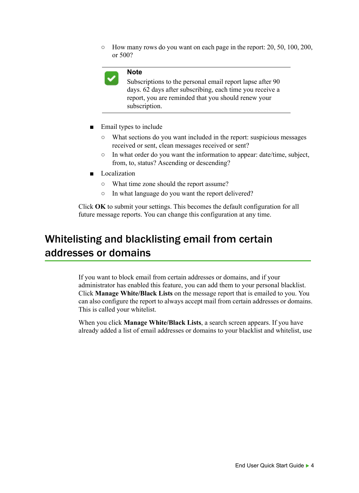○ How many rows do you want on each page in the report: 20, 50, 100, 200, or 500?



#### **Note**

Subscriptions to the personal email report lapse after 90 days. 62 days after subscribing, each time you receive a report, you are reminded that you should renew your subscription.

- Email types to include
	- What sections do you want included in the report: suspicious messages received or sent, clean messages received or sent?
	- In what order do you want the information to appear: date/time, subject, from, to, status? Ascending or descending?
- Localization
	- What time zone should the report assume?
	- In what language do you want the report delivered?

Click **OK** to submit your settings. This becomes the default configuration for all future message reports. You can change this configuration at any time.

### <span id="page-7-0"></span>Whitelisting and blacklisting email from certain addresses or domains

If you want to block email from certain addresses or domains, and if your administrator has enabled this feature, you can add them to your personal blacklist. Click **Manage White/Black Lists** on the message report that is emailed to you. You can also configure the report to always accept mail from certain addresses or domains. This is called your whitelist.

When you click **Manage White/Black Lists**, a search screen appears. If you have already added a list of email addresses or domains to your blacklist and whitelist, use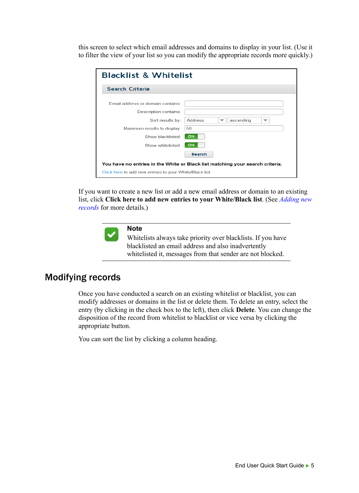this screen to select which email addresses and domains to display in your list. (Use it to filter the view of your list so you can modify the appropriate records more quickly.)

| <b>Blacklist &amp; Whitelist</b>                                                                                                                        |                                                                          |  |  |  |  |
|---------------------------------------------------------------------------------------------------------------------------------------------------------|--------------------------------------------------------------------------|--|--|--|--|
| Search Criteria                                                                                                                                         |                                                                          |  |  |  |  |
| Email address or domain contains:<br>Description contains:<br>Sort results by:<br>Maximum results to display:<br>Show blacklisted:<br>Show whitelisted: | <b>Address</b><br>ascending<br>┳<br>▼<br>50<br>ON<br>ON<br><b>Search</b> |  |  |  |  |
| You have no entries in the White or Black list matching your search criteria.                                                                           |                                                                          |  |  |  |  |
| Click here to add new entries to your White/Black list.                                                                                                 |                                                                          |  |  |  |  |

If you want to create a new list or add a new email address or domain to an existing list, click **Click here to add new entries to your White/Black list**. (See *[Adding new](#page-9-0)  [records](#page-9-0)* for more details.)



#### **Note**

Whitelists always take priority over blacklists. If you have blacklisted an email address and also inadvertently whitelisted it, messages from that sender are not blocked.

#### <span id="page-8-0"></span>Modifying records

Once you have conducted a search on an existing whitelist or blacklist, you can modify addresses or domains in the list or delete them. To delete an entry, select the entry (by clicking in the check box to the left), then click **Delete**. You can change the disposition of the record from whitelist to blacklist or vice versa by clicking the appropriate button.

You can sort the list by clicking a column heading.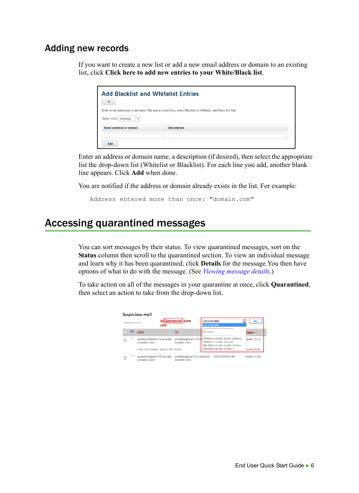#### <span id="page-9-0"></span>Adding new records

If you want to create a new list or add a new email address or domain to an existing list, click **Click here to add new entries to your White/Black list**.



Enter an address or domain name, a description (if desired), then select the appropriate list the drop-down list (Whitelist or Blacklist). For each line you add, another blank line appears. Click **Add** when done.

You are notified if the address or domain already exists in the list. For example:

Address entered more than once: "domain.com"

### <span id="page-9-1"></span>Accessing quarantined messages

You can sort messages by their status. To view quarantined messages, sort on the **Status** column then scroll to the quarantined section. To view an individual message and learn why it has been quarantined, click **Details** for the message.You then have options of what to do with the message. (See *[Viewing message details](#page-10-0)*.)

To take action on all of the messages in your quarantine at once, click **Quarantined**, then select an action to take from the drop-down list.

|                             |  | <b>Suspicious mail</b>                     |                                                |                                                                                                                 |                    |
|-----------------------------|--|--------------------------------------------|------------------------------------------------|-----------------------------------------------------------------------------------------------------------------|--------------------|
| Select for action:<br>Clear |  | All Quarantined Spam                       | <b>Action to take</b><br><b>Action to take</b> | Go                                                                                                              |                    |
|                             |  | <b>From</b>                                | <u>To</u>                                      | Release                                                                                                         | Status V           |
|                             |  | = spammer@sink.16.test.bla<br>ckspider.com | kspider.com                                    | pebbles@cust1.16.to Whitelist sender email address<br>Whitelist sender domain<br>Blacklist sender email address | Spam (12.2)        |
|                             |  | Free Golf Wedge - Best in the World!       |                                                | <b>Blacklist sender domain</b>                                                                                  | <b>Duarantined</b> |
|                             |  | ← spammer@sink.16.test.bla<br>ckspider.com | kspider.com                                    | pebbles@cust1.16.test.blac 31/03/2016 05:06                                                                     | Spam (11.9)        |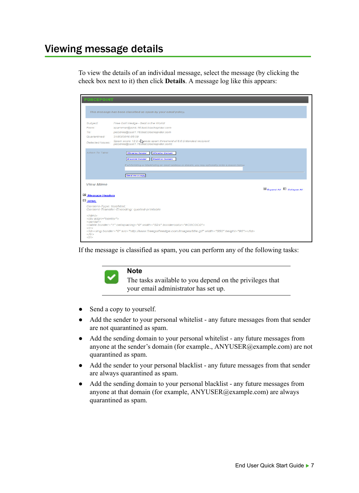### <span id="page-10-0"></span>Viewing message details

To view the details of an individual message, select the message (by clicking the check box next to it) then click **Details**. A message log like this appears:

| <b>FORCEPOINT</b>                                                                                                                                                                                                                                                                                                                                                                                                                                                              |                                                                                                                                                                                                                                                          |                                |  |  |  |                                                                                               |
|--------------------------------------------------------------------------------------------------------------------------------------------------------------------------------------------------------------------------------------------------------------------------------------------------------------------------------------------------------------------------------------------------------------------------------------------------------------------------------|----------------------------------------------------------------------------------------------------------------------------------------------------------------------------------------------------------------------------------------------------------|--------------------------------|--|--|--|-----------------------------------------------------------------------------------------------|
|                                                                                                                                                                                                                                                                                                                                                                                                                                                                                | This message has been classified as spam by your email policy.                                                                                                                                                                                           |                                |  |  |  |                                                                                               |
| Subject:<br>From:<br>To:<br>Quarantined:<br><b>Detected Issues:</b>                                                                                                                                                                                                                                                                                                                                                                                                            | Free Golf Wedge - Best in the World!<br>spammer@sink.16.test.blackspider.com<br>pebbles@cust1.16.test.blackspider.com<br>31/03/2016 05:09<br>Spam score 12.2 elseeds spam threshold of 6.0 (intended recipient<br>pebbles@cust1.16.test.blackspider.com) |                                |  |  |  |                                                                                               |
| <b>Action To Take:</b>                                                                                                                                                                                                                                                                                                                                                                                                                                                         | <b>Whitelist Sender</b><br><b>Whitelist Domain</b><br><b>Blacklist Sender</b><br><b>Blacklist Domain</b><br>If whitelisting or blacklisting an email address or domain, you may optionally enter a reason below                                          |                                |  |  |  |                                                                                               |
| <b>View Mime</b><br>Message Headers                                                                                                                                                                                                                                                                                                                                                                                                                                            | Send me a copy                                                                                                                                                                                                                                           | <b>Expand All</b> Collapse All |  |  |  |                                                                                               |
| $E_{HTML}$<br>Content-Type: text/html;<br>Content-Transfer-Encoding: quoted-printable<br>$<$ html $>$<br><div align="center"><br/><math>\leq</math>center<math>&gt;</math><br/><table border="1" bordercolor="#C0C0C0" cellspacing="0" width="524"><br/><math>&lt;</math>tr<math>&gt;</math><br/><td><img border="0" height="96" src="http://www.freegolfwedge.com/images/title.gif" width="550"/></td><br/><math>&lt;</math>/tr&gt;<br/><math>&lt;</math>tr&gt;</table></div> |                                                                                                                                                                                                                                                          |                                |  |  |  | <img border="0" height="96" src="http://www.freegolfwedge.com/images/title.gif" width="550"/> |

If the message is classified as spam, you can perform any of the following tasks:



- Send a copy to yourself.
- Add the sender to your personal whitelist any future messages from that sender are not quarantined as spam.
- Add the sending domain to your personal whitelist any future messages from anyone at the sender's domain (for example., ANYUSER@example.com) are not quarantined as spam.
- Add the sender to your personal blacklist any future messages from that sender are always quarantined as spam.
- Add the sending domain to your personal blacklist any future messages from anyone at that domain (for example, ANYUSER@example.com) are always quarantined as spam.